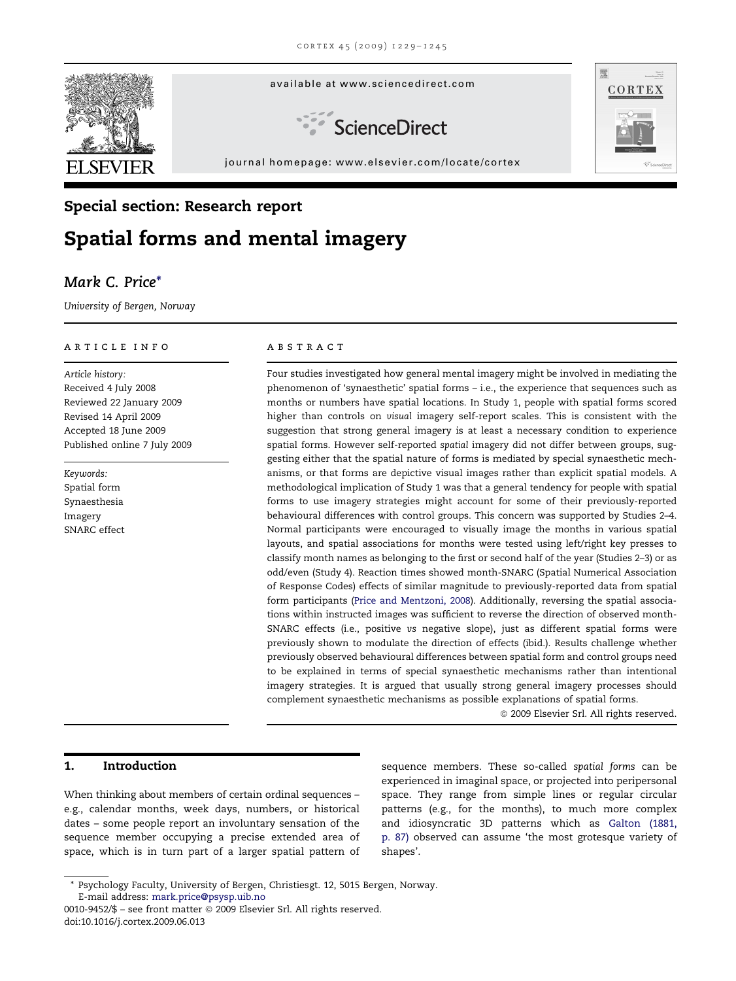

# Special section: Research report

### Spatial forms and mental imagery

### Mark C. Price\*

University of Bergen, Norway

#### article info

Article history: Received 4 July 2008 Reviewed 22 January 2009 Revised 14 April 2009 Accepted 18 June 2009 Published online 7 July 2009

Keywords: Spatial form Synaesthesia Imagery SNARC effect

#### **ABSTRACT**

Four studies investigated how general mental imagery might be involved in mediating the phenomenon of 'synaesthetic' spatial forms – i.e., the experience that sequences such as months or numbers have spatial locations. In Study 1, people with spatial forms scored higher than controls on visual imagery self-report scales. This is consistent with the suggestion that strong general imagery is at least a necessary condition to experience spatial forms. However self-reported spatial imagery did not differ between groups, suggesting either that the spatial nature of forms is mediated by special synaesthetic mechanisms, or that forms are depictive visual images rather than explicit spatial models. A methodological implication of Study 1 was that a general tendency for people with spatial forms to use imagery strategies might account for some of their previously-reported behavioural differences with control groups. This concern was supported by Studies 2–4. Normal participants were encouraged to visually image the months in various spatial layouts, and spatial associations for months were tested using left/right key presses to classify month names as belonging to the first or second half of the year (Studies 2–3) or as odd/even (Study 4). Reaction times showed month-SNARC (Spatial Numerical Association of Response Codes) effects of similar magnitude to previously-reported data from spatial form participants ([Price and Mentzoni, 2008\)](#page--1-0). Additionally, reversing the spatial associations within instructed images was sufficient to reverse the direction of observed month-SNARC effects (i.e., positive vs negative slope), just as different spatial forms were previously shown to modulate the direction of effects (ibid.). Results challenge whether previously observed behavioural differences between spatial form and control groups need to be explained in terms of special synaesthetic mechanisms rather than intentional imagery strategies. It is argued that usually strong general imagery processes should complement synaesthetic mechanisms as possible explanations of spatial forms.

 $@$  2009 Elsevier Srl. All rights reserved.

### 1. Introduction

When thinking about members of certain ordinal sequences – e.g., calendar months, week days, numbers, or historical dates – some people report an involuntary sensation of the sequence member occupying a precise extended area of space, which is in turn part of a larger spatial pattern of sequence members. These so-called spatial forms can be experienced in imaginal space, or projected into peripersonal space. They range from simple lines or regular circular patterns (e.g., for the months), to much more complex and idiosyncratic 3D patterns which as [Galton \(1881,](#page--1-0) [p. 87\)](#page--1-0) observed can assume 'the most grotesque variety of shapes'.

<sup>\*</sup> Psychology Faculty, University of Bergen, Christiesgt. 12, 5015 Bergen, Norway. E-mail address: [mark.price@psysp.uib.no](mailto:mark.price@psysp.uib.no)

<sup>0010-9452/\$ -</sup> see front matter © 2009 Elsevier Srl. All rights reserved. doi:10.1016/j.cortex.2009.06.013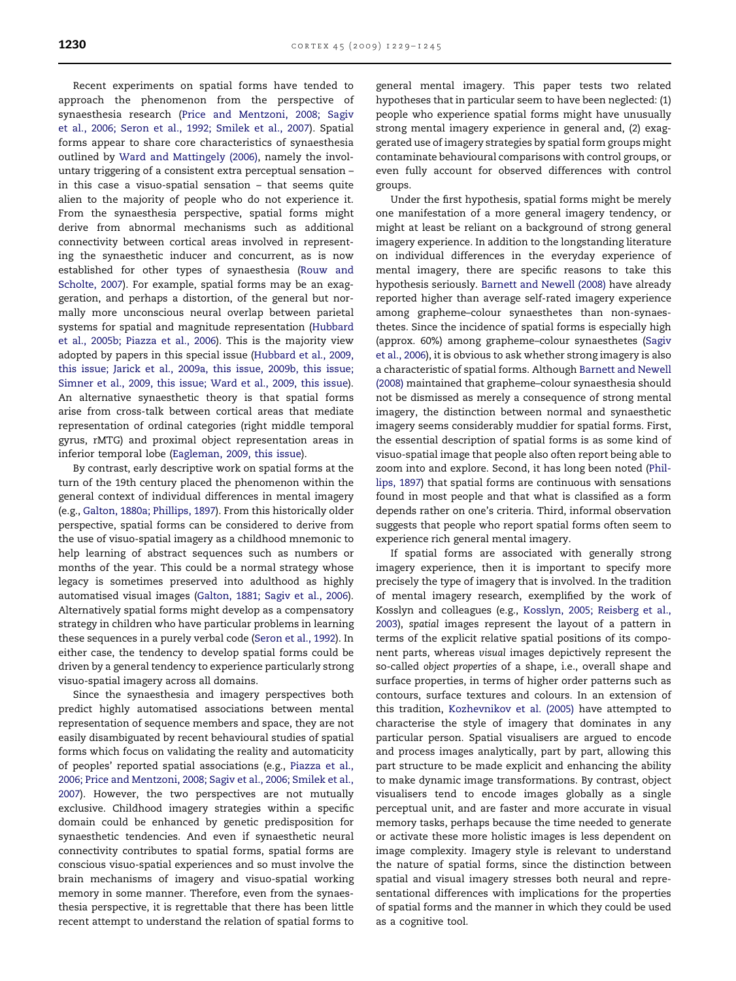Recent experiments on spatial forms have tended to approach the phenomenon from the perspective of synaesthesia research [\(Price and Mentzoni, 2008; Sagiv](#page--1-0) [et al., 2006; Seron et al., 1992; Smilek et al., 2007\)](#page--1-0). Spatial forms appear to share core characteristics of synaesthesia outlined by [Ward and Mattingely \(2006\),](#page--1-0) namely the involuntary triggering of a consistent extra perceptual sensation – in this case a visuo-spatial sensation – that seems quite alien to the majority of people who do not experience it. From the synaesthesia perspective, spatial forms might derive from abnormal mechanisms such as additional connectivity between cortical areas involved in representing the synaesthetic inducer and concurrent, as is now established for other types of synaesthesia [\(Rouw and](#page--1-0) [Scholte, 2007](#page--1-0)). For example, spatial forms may be an exaggeration, and perhaps a distortion, of the general but normally more unconscious neural overlap between parietal systems for spatial and magnitude representation ([Hubbard](#page--1-0) [et al., 2005b; Piazza et al., 2006\)](#page--1-0). This is the majority view adopted by papers in this special issue ([Hubbard et al., 2009,](#page--1-0) [this issue; Jarick et al., 2009a, this issue, 2009b, this issue;](#page--1-0) [Simner et al., 2009, this issue; Ward et al., 2009, this issue\)](#page--1-0). An alternative synaesthetic theory is that spatial forms arise from cross-talk between cortical areas that mediate representation of ordinal categories (right middle temporal gyrus, rMTG) and proximal object representation areas in inferior temporal lobe ([Eagleman, 2009, this issue\)](#page--1-0).

By contrast, early descriptive work on spatial forms at the turn of the 19th century placed the phenomenon within the general context of individual differences in mental imagery (e.g., [Galton, 1880a; Phillips, 1897](#page--1-0)). From this historically older perspective, spatial forms can be considered to derive from the use of visuo-spatial imagery as a childhood mnemonic to help learning of abstract sequences such as numbers or months of the year. This could be a normal strategy whose legacy is sometimes preserved into adulthood as highly automatised visual images ([Galton, 1881; Sagiv et al., 2006\)](#page--1-0). Alternatively spatial forms might develop as a compensatory strategy in children who have particular problems in learning these sequences in a purely verbal code [\(Seron et al., 1992\)](#page--1-0). In either case, the tendency to develop spatial forms could be driven by a general tendency to experience particularly strong visuo-spatial imagery across all domains.

Since the synaesthesia and imagery perspectives both predict highly automatised associations between mental representation of sequence members and space, they are not easily disambiguated by recent behavioural studies of spatial forms which focus on validating the reality and automaticity of peoples' reported spatial associations (e.g., [Piazza et al.,](#page--1-0) [2006; Price and Mentzoni, 2008; Sagiv et al., 2006; Smilek et al.,](#page--1-0) [2007\)](#page--1-0). However, the two perspectives are not mutually exclusive. Childhood imagery strategies within a specific domain could be enhanced by genetic predisposition for synaesthetic tendencies. And even if synaesthetic neural connectivity contributes to spatial forms, spatial forms are conscious visuo-spatial experiences and so must involve the brain mechanisms of imagery and visuo-spatial working memory in some manner. Therefore, even from the synaesthesia perspective, it is regrettable that there has been little recent attempt to understand the relation of spatial forms to general mental imagery. This paper tests two related hypotheses that in particular seem to have been neglected: (1) people who experience spatial forms might have unusually strong mental imagery experience in general and, (2) exaggerated use of imagery strategies by spatial form groups might contaminate behavioural comparisons with control groups, or even fully account for observed differences with control groups.

Under the first hypothesis, spatial forms might be merely one manifestation of a more general imagery tendency, or might at least be reliant on a background of strong general imagery experience. In addition to the longstanding literature on individual differences in the everyday experience of mental imagery, there are specific reasons to take this hypothesis seriously. [Barnett and Newell \(2008\)](#page--1-0) have already reported higher than average self-rated imagery experience among grapheme–colour synaesthetes than non-synaesthetes. Since the incidence of spatial forms is especially high (approx. 60%) among grapheme–colour synaesthetes ([Sagiv](#page--1-0) [et al., 2006\)](#page--1-0), it is obvious to ask whether strong imagery is also a characteristic of spatial forms. Although [Barnett and Newell](#page--1-0) [\(2008\)](#page--1-0) maintained that grapheme–colour synaesthesia should not be dismissed as merely a consequence of strong mental imagery, the distinction between normal and synaesthetic imagery seems considerably muddier for spatial forms. First, the essential description of spatial forms is as some kind of visuo-spatial image that people also often report being able to zoom into and explore. Second, it has long been noted [\(Phil](#page--1-0)[lips, 1897\)](#page--1-0) that spatial forms are continuous with sensations found in most people and that what is classified as a form depends rather on one's criteria. Third, informal observation suggests that people who report spatial forms often seem to experience rich general mental imagery.

If spatial forms are associated with generally strong imagery experience, then it is important to specify more precisely the type of imagery that is involved. In the tradition of mental imagery research, exemplified by the work of Kosslyn and colleagues (e.g., [Kosslyn, 2005; Reisberg et al.,](#page--1-0) [2003\)](#page--1-0), spatial images represent the layout of a pattern in terms of the explicit relative spatial positions of its component parts, whereas visual images depictively represent the so-called object properties of a shape, i.e., overall shape and surface properties, in terms of higher order patterns such as contours, surface textures and colours. In an extension of this tradition, [Kozhevnikov et al. \(2005\)](#page--1-0) have attempted to characterise the style of imagery that dominates in any particular person. Spatial visualisers are argued to encode and process images analytically, part by part, allowing this part structure to be made explicit and enhancing the ability to make dynamic image transformations. By contrast, object visualisers tend to encode images globally as a single perceptual unit, and are faster and more accurate in visual memory tasks, perhaps because the time needed to generate or activate these more holistic images is less dependent on image complexity. Imagery style is relevant to understand the nature of spatial forms, since the distinction between spatial and visual imagery stresses both neural and representational differences with implications for the properties of spatial forms and the manner in which they could be used as a cognitive tool.